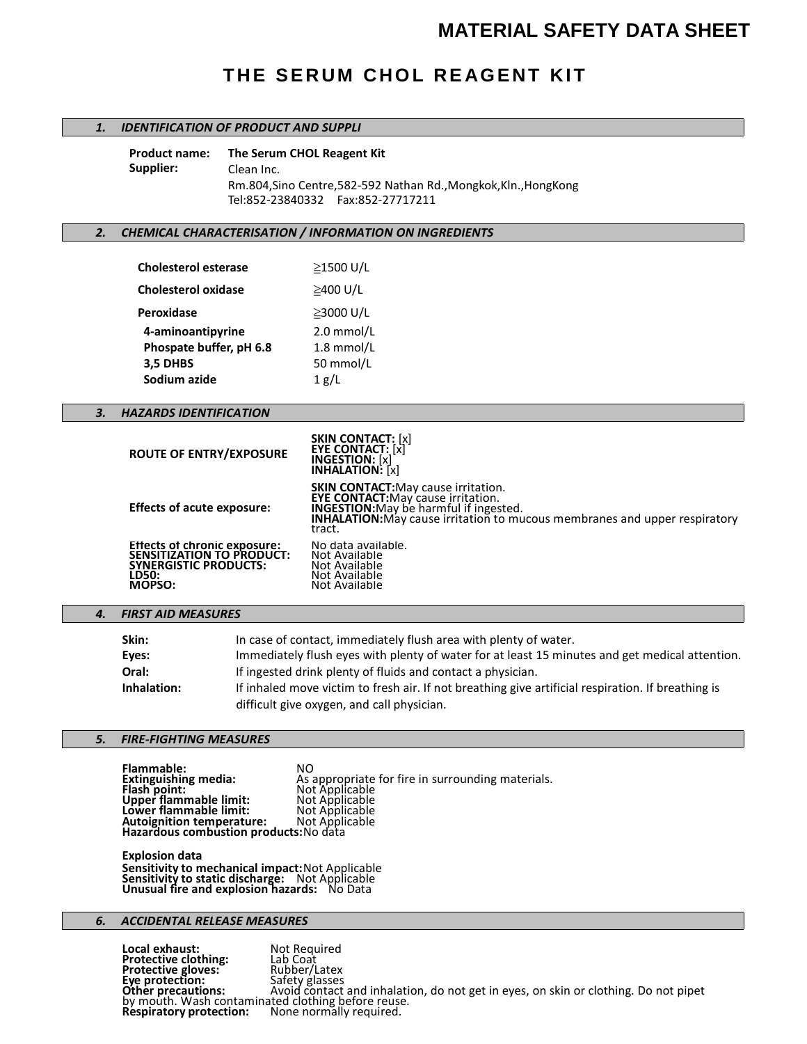# **MATERIAL SAFETY DATA SHEET**

# **THE SERUM CHOL REAGENT KIT**

## *1. IDENTIFICATION OF PRODUCT AND SUPPLI*

**Product name: The Serum CHOL Reagent Kit Supplier:** Clean Inc. Rm.804,Sino Centre,582-592 Nathan Rd.,Mongkok,Kln.,HongKong Tel:852-23840332 Fax:852-27717211

## *2. CHEMICAL CHARACTERISATION / INFORMATION ON INGREDIENTS*

| <b>Cholesterol esterase</b> | ≥1500 U/L  |
|-----------------------------|------------|
| <b>Cholesterol oxidase</b>  | ≥400 U/L   |
| Peroxidase                  | ≥3000 U/L  |
| 4-aminoantipyrine           | 2.0 mmol/L |
| Phospate buffer, pH 6.8     | 1.8 mmol/L |
| 3,5 DHBS                    | 50 mmol/L  |
| Sodium azide                | 1 g/L      |

## *3. HAZARDS IDENTIFICATION*

| <b>ROUTE OF ENTRY/EXPOSURE</b>                                                                               | <b>SKIN CONTACT:</b> [x]<br><b>EYE CONTACT:</b> [x]<br><b>INGESTION:</b> [x]<br><b>INHALATION:</b> [x]                                                                                                                                  |
|--------------------------------------------------------------------------------------------------------------|-----------------------------------------------------------------------------------------------------------------------------------------------------------------------------------------------------------------------------------------|
| <b>Effects of acute exposure:</b>                                                                            | <b>SKIN CONTACT:</b> May cause irritation.<br><b>EYE CONTACT:</b> May cause irritation.<br><b>INGESTION:</b> May be harmful if ingested.<br><b>INHALATION:</b> May cause irritation to mucous membranes and upper respiratory<br>tract. |
| Effects of chronic exposure:<br>SENSITIZATION TO PRODUCT:<br><b>SYNERGISTIC PRODUCTS:</b><br>LD50:<br>MOPSO: | No data available.<br>Not Available<br>Not Available<br>Not Available<br>Not Available                                                                                                                                                  |

## *4. FIRST AID MEASURES*

| Skin:       | In case of contact, immediately flush area with plenty of water.                                   |
|-------------|----------------------------------------------------------------------------------------------------|
| Eyes:       | Immediately flush eyes with plenty of water for at least 15 minutes and get medical attention.     |
| Oral:       | If ingested drink plenty of fluids and contact a physician.                                        |
| Inhalation: | If inhaled move victim to fresh air. If not breathing give artificial respiration. If breathing is |
|             | difficult give oxygen, and call physician.                                                         |

# *5. FIRE-FIGHTING MEASURES*

**Flammable:** NO<br> **Extinguishing media:** As **Extinguishing media:** As appropriate for fire in surrounding materials. **Flash point:** Not Applicable **Upper flammable limit:** Not Applicable **Lower flammable limit:** Not Applicable **Autoignition temperature:** Not Applicable **Hazardous combustion products:**No data

**Explosion data Sensitivity to mechanical impact:**Not Applicable **Sensitivity to static discharge:** Not Applicable **Unusual fire and explosion hazards:** No Data

## *6. ACCIDENTAL RELEASE MEASURES*

**Local exhaust:** Not Required **Protective clothing:** Lab Coat **Formular Expansion Control Control Protective clothing:**<br> **Protective gloves:** Rubber/Latex<br> **Eye protection:** Safety glasses **Eye protection:** Safety glasses **Other precautions:** Avoid contact and inhalation, do not get in eyes, on skin or clothing. Do not pipet<br><u>b</u>y mouth. Wash contaminated clothing before reuse. **Respiratory protection:** None normally required.